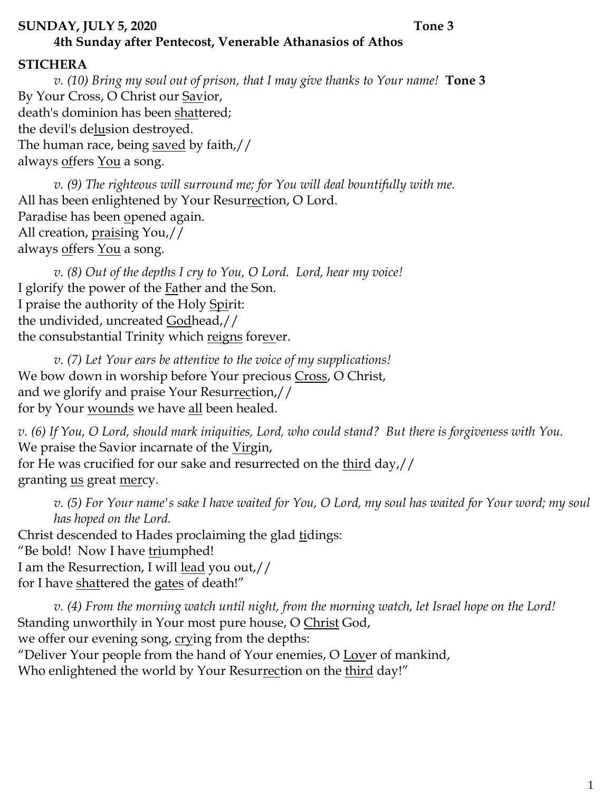#### **SUNDAY, JULY 5, 2020 Tone 3**

# **4th Sunday after Pentecost, Venerable Athanasios of Athos**

## **STICHERA**

*v. (10) Bring my soul out of prison, that I may give thanks to Your name!* **Tone 3** By Your Cross, O Christ our Savior, death's dominion has been shattered; the devil's delusion destroyed. The human race, being saved by faith,// always <u>off</u>ers <u>You</u> a song.

*v. (9) The righteous will surround me; for You will deal bountifully with me.*  All has been enlightened by Your Resurrection, O Lord. Paradise has been opened again. All creation, praising You,// always <u>off</u>ers <u>You</u> a song.

*v. (8) Out of the depths I cry to You, O Lord. Lord, hear my voice!*  I glorify the power of the Father and the Son. I praise the authority of the Holy Spirit: the undivided, uncreated Godhead,// the consubstantial Trinity which reigns forever.

*v. (7) Let Your ears be attentive to the voice of my supplications!* We bow down in worship before Your precious Cross, O Christ, and we glorify and praise Your Resurrection,// for by Your wounds we have all been healed.

*v. (6) If You, O Lord, should mark iniquities, Lord, who could stand? But there is forgiveness with You.*  We praise the Savior incarnate of the Virgin, for He was crucified for our sake and resurrected on the third day,// granting us great mercy.

*v. (5) For Your name's sake I have waited for You, O Lord, my soul has waited for Your word; my soul has hoped on the Lord.*  Christ descended to Hades proclaiming the glad tidings: "Be bold! Now I have triumphed! I am the Resurrection, I will lead you out,// for I have shattered the gates of death!"

*v. (4) From the morning watch until night, from the morning watch, let Israel hope on the Lord!* Standing unworthily in Your most pure house, O Christ God, we offer our evening song, crying from the depths: "Deliver Your people from the hand of Your enemies, O Lover of mankind, Who enlightened the world by Your Resurrection on the third day!"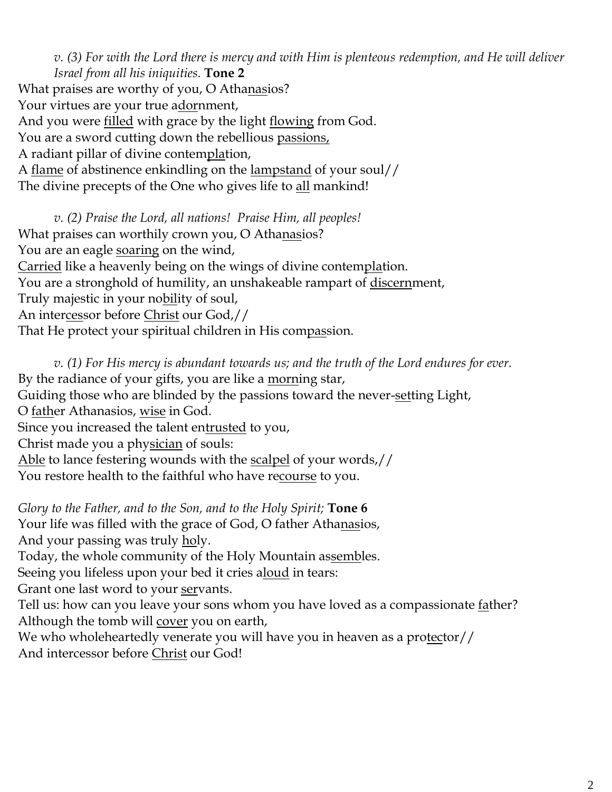*v. (3) For with the Lord there is mercy and with Him is plenteous redemption, and He will deliver Israel from all his iniquities.* **Tone 2** What praises are worthy of you, O Athanasios? Your virtues are your true adornment, And you were filled with grace by the light flowing from God. You are a sword cutting down the rebellious passions, A radiant pillar of divine contemplation, A flame of abstinence enkindling on the lampstand of your soul// The divine precepts of the One who gives life to all mankind!

*v. (2) Praise the Lord, all nations! Praise Him, all peoples!* What praises can worthily crown you, O Athanasios? You are an eagle <u>soaring</u> on the wind, Carried like a heavenly being on the wings of divine contemplation. You are a stronghold of humility, an unshakeable rampart of discernment, Truly majestic in your nobility of soul, An intercessor before Christ our God,// That He protect your spiritual children in His compassion.

*v. (1) For His mercy is abundant towards us; and the truth of the Lord endures for ever.*  By the radiance of your gifts, you are like a morning star, Guiding those who are blinded by the passions toward the never-setting Light, O <u>fath</u>er Athanasios, <u>wise</u> in God. Since you increased the talent entrusted to you, Christ made you a physician of souls: Able to lance festering wounds with the <u>scalpel</u> of your words,// You restore health to the faithful who have recourse to you.

*Glory to the Father, and to the Son, and to the Holy Spirit;* **Tone 6** Your life was filled with the grace of God, O father Athanasios, And your passing was truly <u>ho</u>ly. Today, the whole community of the Holy Mountain assembles. Seeing you lifeless upon your bed it cries aloud in tears: Grant one last word to your servants. Tell us: how can you leave your sons whom you have loved as a compassionate father? Although the tomb will cover you on earth, We who wholeheartedly venerate you will have you in heaven as a protector// And intercessor before Christ our God!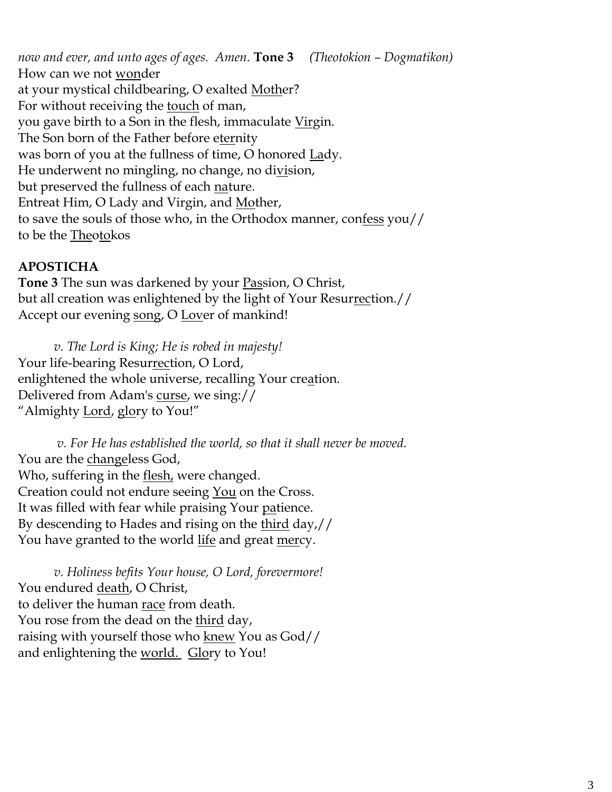*now and ever, and unto ages of ages. Amen.* **Tone 3** *(Theotokion – Dogmatikon)* How can we not <u>won</u>der at your mystical childbearing, O exalted Mother? For without receiving the touch of man, you gave birth to a Son in the flesh, immaculate Virgin. The Son born of the Father before eternity was born of you at the fullness of time, O honored Lady. He underwent no mingling, no change, no division, but preserved the fullness of each nature. Entreat Him, O Lady and Virgin, and Mother, to save the souls of those who, in the Orthodox manner, confess you// to be the Theotokos

### **APOSTICHA**

**Tone 3** The sun was darkened by your Passion, O Christ, but all creation was enlightened by the light of Your Resurrection.// Accept our evening song, O Lover of mankind!

*v. The Lord is King; He is robed in majesty!*  Your life-bearing Resurrection, O Lord, enlightened the whole universe, recalling Your creation. Delivered from Adam's curse, we sing:// "Almighty Lord, glory to You!"

*v. For He has established the world, so that it shall never be moved.* You are the changeless God, Who, suffering in the **flesh**, were changed. Creation could not endure seeing <u>You</u> on the Cross. It was filled with fear while praising Your patience. By descending to Hades and rising on the third day,// You have granted to the world life and great mercy.

*v. Holiness befits Your house, O Lord, forevermore!*  You endured death, O Christ, to deliver the human race from death. You rose from the dead on the <u>third</u> day, raising with yourself those who knew You as God// and enlightening the <u>world.</u> Glory to You!